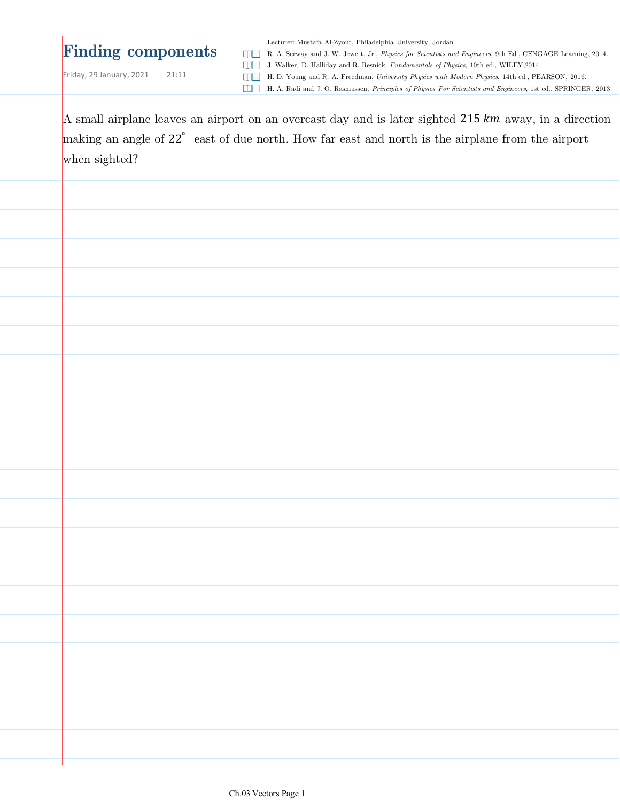# **Finding components**

Lecturer: Mustafa Al-Zyout, Philadelphia University, Jordan.

R. A. Serway and J. W. Jewett, Jr., *Physics for Scientists and Engineers*, 9th Ed., CENGAGE Learning, 2014. J. Walker, D. Halliday and R. Resnick, *Fundamentals of Physics*, 10th ed., WILEY,2014.

Friday, 29 January, 2021 21:11

H. D. Young and R. A. Freedman, *University Physics with Modern Physics*, 14th ed., PEARSON, 2016.

H. A. Radi and J. O. Rasmussen, *Principles of Physics For Scientists and Engineers*, 1st ed., SPRINGER, 2013.

| A small airplane leaves an airport on an overcast day and is later sighted 215 km away, in a direction |
|--------------------------------------------------------------------------------------------------------|
| making an angle of 22° east of due north. How far east and north is the airplane from the airport      |
| when sighted?                                                                                          |
|                                                                                                        |
|                                                                                                        |
|                                                                                                        |
|                                                                                                        |
|                                                                                                        |
|                                                                                                        |
|                                                                                                        |
|                                                                                                        |
|                                                                                                        |
|                                                                                                        |
|                                                                                                        |
|                                                                                                        |
|                                                                                                        |
|                                                                                                        |
|                                                                                                        |
|                                                                                                        |
|                                                                                                        |
|                                                                                                        |
|                                                                                                        |
|                                                                                                        |
|                                                                                                        |
|                                                                                                        |
|                                                                                                        |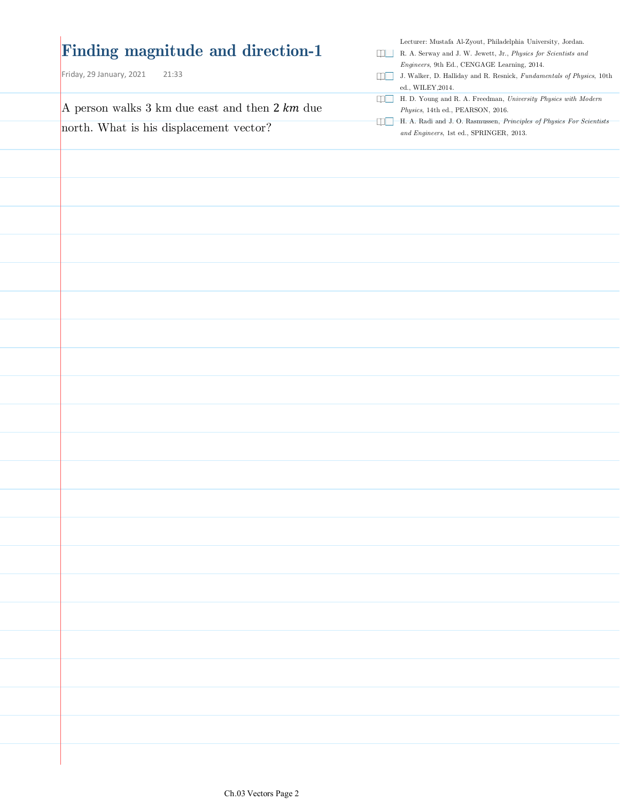| Finding magnitude and direction-1<br>Friday, 29 January, 2021<br>21:33 | Lecturer: Mustafa Al-Zyout, Philadelphia University, Jordan.<br>R. A. Serway and J. W. Jewett, Jr., Physics for Scientists and<br>$Engineers, 9th$ Ed., CENGAGE Learning, 2014.<br>J. Walker, D. Halliday and R. Resnick, Fundamentals of Physics, 10th<br>ed., WILEY, 2014. |
|------------------------------------------------------------------------|------------------------------------------------------------------------------------------------------------------------------------------------------------------------------------------------------------------------------------------------------------------------------|
| A person walks 3 km due east and then $2 km$ due                       | H. D. Young and R. A. Freedman, University Physics with Modern<br>$Physics, \,14\mbox{th}$ ed., PEARSON, 2016.                                                                                                                                                               |
| north. What is his displacement vector?                                | [J] H. A. Radi and J. O. Rasmussen, Principles of Physics For Scientists<br>$and$ $Engineers$ ,1st ed., SPRINGER, 2013.                                                                                                                                                      |
|                                                                        |                                                                                                                                                                                                                                                                              |
|                                                                        |                                                                                                                                                                                                                                                                              |
|                                                                        |                                                                                                                                                                                                                                                                              |
|                                                                        |                                                                                                                                                                                                                                                                              |
|                                                                        |                                                                                                                                                                                                                                                                              |
|                                                                        |                                                                                                                                                                                                                                                                              |
|                                                                        |                                                                                                                                                                                                                                                                              |
|                                                                        |                                                                                                                                                                                                                                                                              |
|                                                                        |                                                                                                                                                                                                                                                                              |
|                                                                        |                                                                                                                                                                                                                                                                              |
|                                                                        |                                                                                                                                                                                                                                                                              |
|                                                                        |                                                                                                                                                                                                                                                                              |
|                                                                        |                                                                                                                                                                                                                                                                              |
|                                                                        |                                                                                                                                                                                                                                                                              |
|                                                                        |                                                                                                                                                                                                                                                                              |
|                                                                        |                                                                                                                                                                                                                                                                              |
|                                                                        |                                                                                                                                                                                                                                                                              |
|                                                                        |                                                                                                                                                                                                                                                                              |
|                                                                        |                                                                                                                                                                                                                                                                              |
|                                                                        |                                                                                                                                                                                                                                                                              |
|                                                                        |                                                                                                                                                                                                                                                                              |
|                                                                        |                                                                                                                                                                                                                                                                              |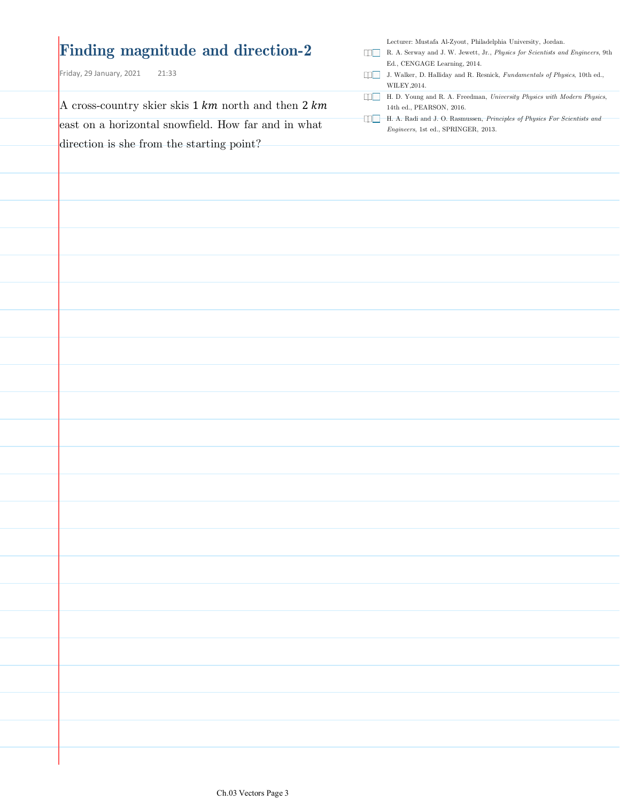### **Finding magnitude and direction-2**

Friday, 29 January, 2021 21:33

A cross-country skier skis  $1 km$  north and then  $2 km$ east on a horizontal snowfield. How far and in what direction is she from the starting point?

Lecturer: Mustafa Al-Zyout, Philadelphia University, Jordan.

- R. A. Serway and J. W. Jewett, Jr., *Physics for Scientists and Engineers*, 9th Ed., CENGAGE Learning, 2014.
- J. Walker, D. Halliday and R. Resnick, *Fundamentals of Physics*, 10th ed., WILEY,2014.
- H. D. Young and R. A. Freedman, *University Physics with Modern Physics*, 14th ed., PEARSON, 2016.
- H. A. Radi and J. O. Rasmussen, *Principles of Physics For Scientists and Engineers*, 1st ed., SPRINGER, 2013.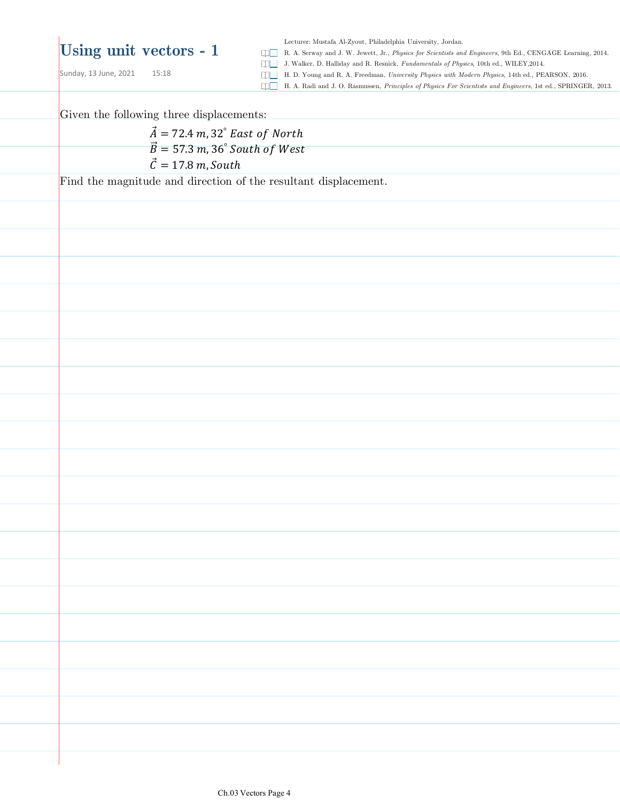Sunday, 13 June, 2021 15:18

Lecturer: Mustafa Al-Zyout, Philadelphia University, Jordan.

R. A. Serway and J. W. Jewett, Jr., *Physics for Scientists and Engineers*, 9th Ed., CENGAGE Learning, 2014.

J. Walker, D. Halliday and R. Resnick, *Fundamentals of Physics*, 10th ed., WILEY,2014.

H. D. Young and R. A. Freedman, *University Physics with Modern Physics*, 14th ed., PEARSON, 2016.

H. A. Radi and J. O. Rasmussen, *Principles of Physics For Scientists and Engineers*, 1st ed., SPRINGER, 2013.

Given the following three displacements:

 $\vec{A} = 72.4 \, m$ , 32 $\degree$  East of North  $\overrightarrow{B}$  = 57.3 m, 36° South of West  $\vec{\mathcal{C}} = 17.8$  m, South

Find the magnitude and direction of the resultant displacement.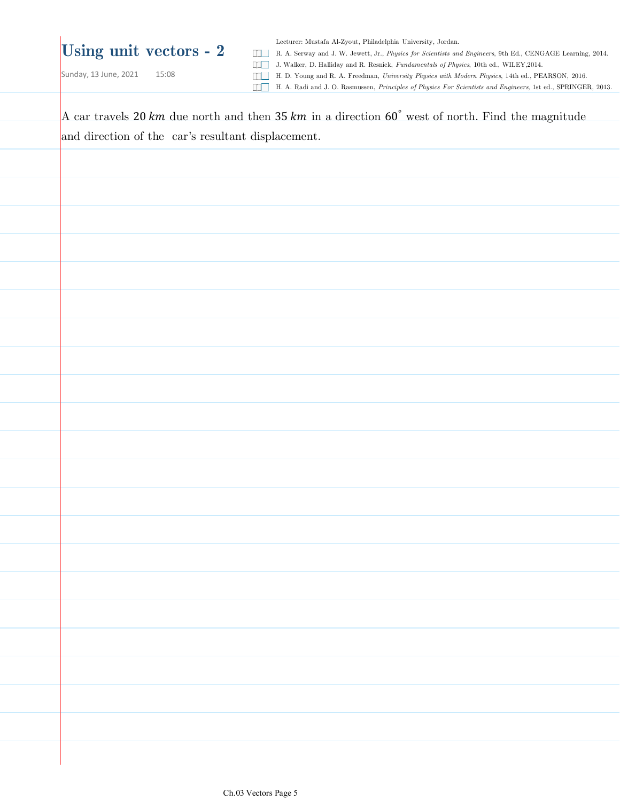Lecturer: Mustafa Al-Zyout, Philadelphia University, Jordan.

R. A. Serway and J. W. Jewett, Jr., *Physics for Scientists and Engineers*, 9th Ed., CENGAGE Learning, 2014.

J. Walker, D. Halliday and R. Resnick, *Fundamentals of Physics*, 10th ed., WILEY,2014.

Sunday, 13 June, 2021 15:08

H. D. Young and R. A. Freedman, *University Physics with Modern Physics*, 14th ed., PEARSON, 2016.

H. A. Radi and J. O. Rasmussen, *Principles of Physics For Scientists and Engineers*, 1st ed., SPRINGER, 2013.

A car travels 20  $km$  due north and then 35  $km$  in a direction 60° west of north. Find the magnitude and direction of the car's resultant displacement.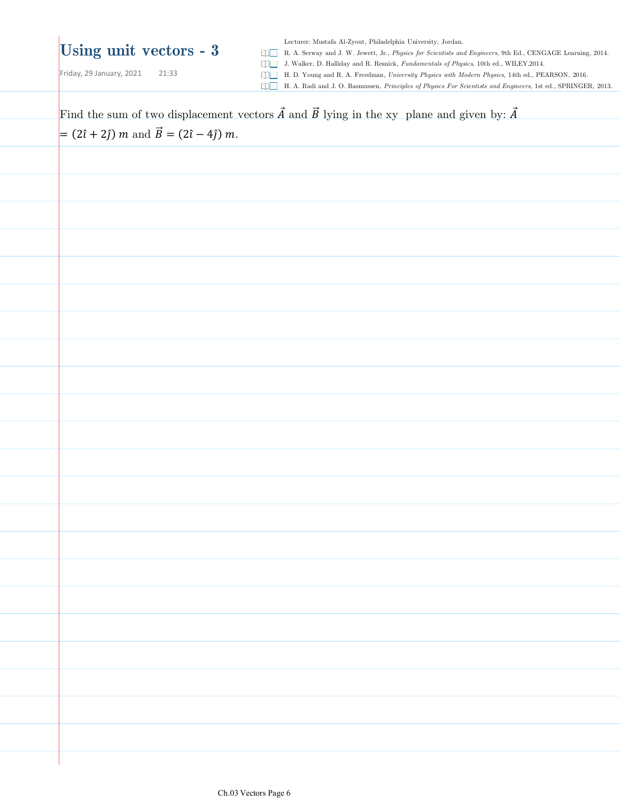Lecturer: Mustafa Al-Zyout, Philadelphia University, Jordan.

R. A. Serway and J. W. Jewett, Jr., *Physics for Scientists and Engineers*, 9th Ed., CENGAGE Learning, 2014.

Friday, 29 January, 2021 21:33

J. Walker, D. Halliday and R. Resnick, *Fundamentals of Physics*, 10th ed., WILEY,2014. H. D. Young and R. A. Freedman, *University Physics with Modern Physics*, 14th ed., PEARSON, 2016.

H. A. Radi and J. O. Rasmussen, *Principles of Physics For Scientists and Engineers*, 1st ed., SPRINGER, 2013.

Find the sum of two displacement vectors  $\vec{A}$  and  $\vec{B}$  lying in the xy plane and given by:  $\vec{A}$  $= (2\hat{i} + 2\hat{j}) m$  and  $\vec{B} = (2\hat{i} - 4\hat{j}) m$ .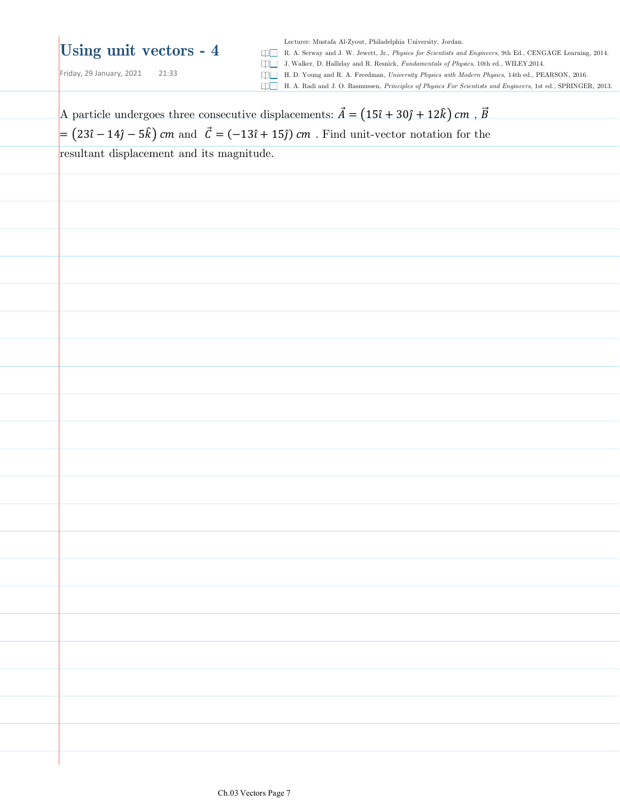Friday, 29 January, 2021 21:33

Lecturer: Mustafa Al-Zyout, Philadelphia University, Jordan.

R. A. Serway and J. W. Jewett, Jr., *Physics for Scientists and Engineers*, 9th Ed., CENGAGE Learning, 2014.

J. Walker, D. Halliday and R. Resnick, *Fundamentals of Physics*, 10th ed., WILEY,2014.

H. D. Young and R. A. Freedman, *University Physics with Modern Physics*, 14th ed., PEARSON, 2016.

H. A. Radi and J. O. Rasmussen, *Principles of Physics For Scientists and Engineers*, 1st ed., SPRINGER, 2013.

| $= (23\hat{i} - 14\hat{j} - 5\hat{k})$ cm and $\vec{C} = (-13\hat{i} + 15\hat{j})$ cm. Find unit-vector notation for the<br>resultant displacement and its magnitude. |  |  |
|-----------------------------------------------------------------------------------------------------------------------------------------------------------------------|--|--|
|                                                                                                                                                                       |  |  |
|                                                                                                                                                                       |  |  |
|                                                                                                                                                                       |  |  |
|                                                                                                                                                                       |  |  |
|                                                                                                                                                                       |  |  |
|                                                                                                                                                                       |  |  |
|                                                                                                                                                                       |  |  |
|                                                                                                                                                                       |  |  |
|                                                                                                                                                                       |  |  |
|                                                                                                                                                                       |  |  |
|                                                                                                                                                                       |  |  |
|                                                                                                                                                                       |  |  |
|                                                                                                                                                                       |  |  |
|                                                                                                                                                                       |  |  |
|                                                                                                                                                                       |  |  |
|                                                                                                                                                                       |  |  |
|                                                                                                                                                                       |  |  |
|                                                                                                                                                                       |  |  |
|                                                                                                                                                                       |  |  |
|                                                                                                                                                                       |  |  |
|                                                                                                                                                                       |  |  |
|                                                                                                                                                                       |  |  |
|                                                                                                                                                                       |  |  |
|                                                                                                                                                                       |  |  |
|                                                                                                                                                                       |  |  |
|                                                                                                                                                                       |  |  |
|                                                                                                                                                                       |  |  |
|                                                                                                                                                                       |  |  |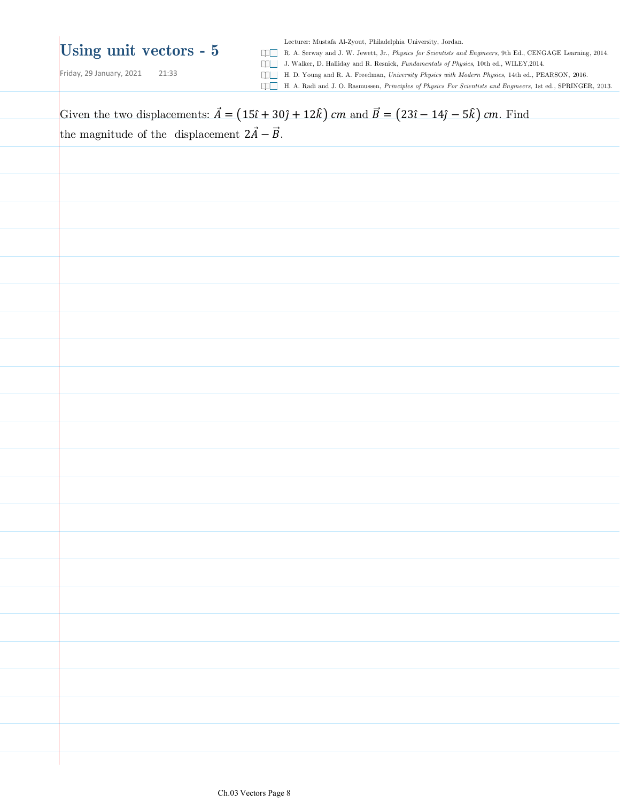Friday, 29 January, 2021 21:33

Lecturer: Mustafa Al-Zyout, Philadelphia University, Jordan.

R. A. Serway and J. W. Jewett, Jr., *Physics for Scientists and Engineers*, 9th Ed., CENGAGE Learning, 2014.

J. Walker, D. Halliday and R. Resnick, *Fundamentals of Physics*, 10th ed., WILEY,2014.

H. D. Young and R. A. Freedman, *University Physics with Modern Physics*, 14th ed., PEARSON, 2016.

H. A. Radi and J. O. Rasmussen, *Principles of Physics For Scientists and Engineers*, 1st ed., SPRINGER, 2013.

Given the two displacements:  $\vec{A} = (15\hat{i} + 30\hat{j} + 12\hat{k})$  cm and  $\vec{B} = (23\hat{i} - 14\hat{j} - 5\hat{k})$  cm. Find the magnitude of the displacement  $2\vec{A} - \vec{B}$ .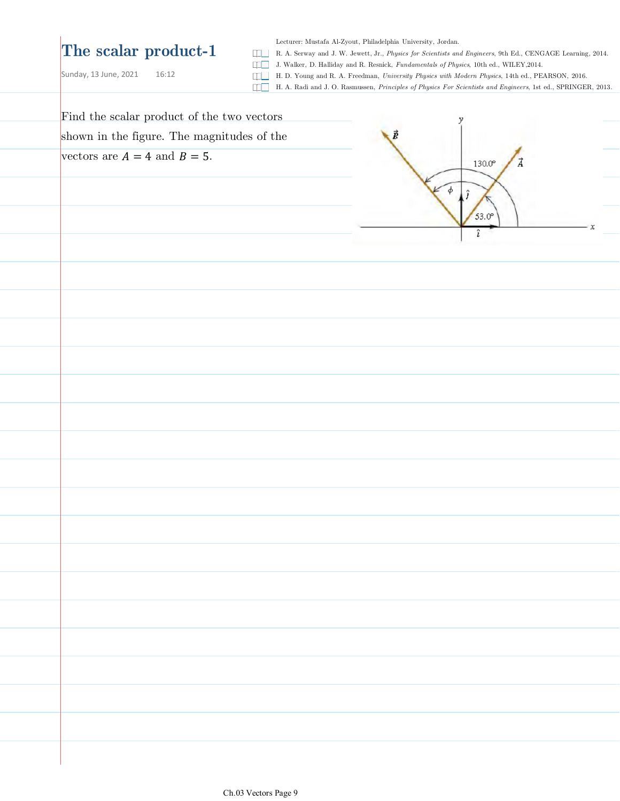## **The scalar product-1**

Lecturer: Mustafa Al-Zyout, Philadelphia University, Jordan.

R. A. Serway and J. W. Jewett, Jr., *Physics for Scientists and Engineers*, 9th Ed., CENGAGE Learning, 2014.

J. Walker, D. Halliday and R. Resnick, *Fundamentals of Physics*, 10th ed., WILEY,2014.

Sunday, 13 June, 2021 16:12

- H. D. Young and R. A. Freedman, *University Physics with Modern Physics*, 14th ed., PEARSON, 2016.
- H. A. Radi and J. O. Rasmussen, *Principles of Physics For Scientists and Engineers*, 1st ed., SPRINGER, 2013.

| Find the scalar product of the two vectors | ν                          |
|--------------------------------------------|----------------------------|
| shown in the figure. The magnitudes of the | $\vec{B}$                  |
| vectors are $A = 4$ and $B = 5$ .          | $130.0^\circ$<br>$\vec{A}$ |
|                                            | φ                          |
|                                            |                            |
|                                            | $53.0^\circ$<br>x          |
|                                            |                            |
|                                            |                            |
|                                            |                            |
|                                            |                            |
|                                            |                            |
|                                            |                            |
|                                            |                            |
|                                            |                            |
|                                            |                            |
|                                            |                            |
|                                            |                            |
|                                            |                            |
|                                            |                            |
|                                            |                            |
|                                            |                            |
|                                            |                            |
|                                            |                            |
|                                            |                            |
|                                            |                            |
|                                            |                            |
|                                            |                            |
|                                            |                            |
|                                            |                            |
|                                            |                            |
|                                            |                            |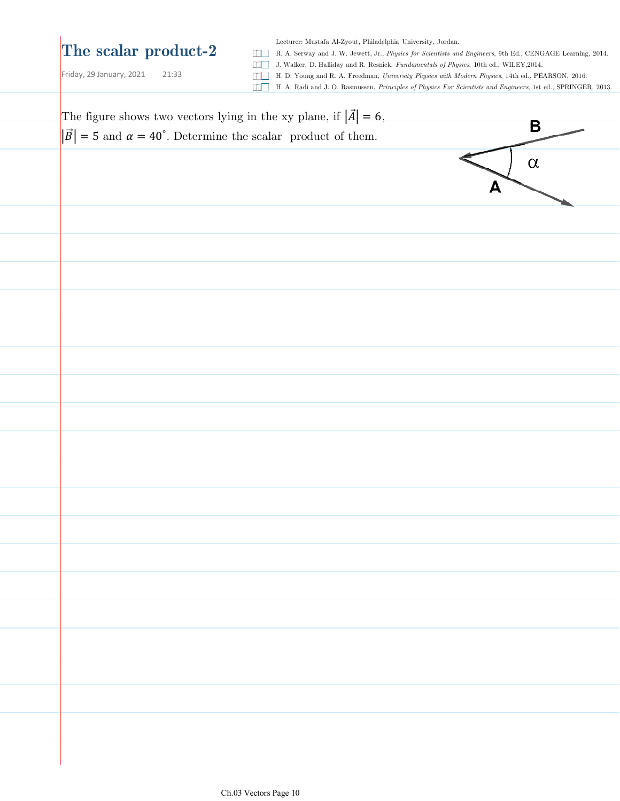## **The scalar product-2**

Lecturer: Mustafa Al-Zyout, Philadelphia University, Jordan.

R. A. Serway and J. W. Jewett, Jr., *Physics for Scientists and Engineers*, 9th Ed., CENGAGE Learning, 2014.

Friday, 29 January,  $2021$  21:33

J. Walker, D. Halliday and R. Resnick, *Fundamentals of Physics*, 10th ed., WILEY,2014.

H. D. Young and R. A. Freedman, *University Physics with Modern Physics*, 14th ed., PEARSON, 2016.

H. A. Radi and J. O. Rasmussen, *Principles of Physics For Scientists and Engineers*, 1st ed., SPRINGER, 2013.

| The figure shows two vectors lying in the xy plane, if $ \vec{A}  = 6$ ,          |          |  |
|-----------------------------------------------------------------------------------|----------|--|
| $ \vec{B}  = 5$ and $\alpha = 40^{\circ}$ . Determine the scalar product of them. | B        |  |
|                                                                                   | $\alpha$ |  |
|                                                                                   | А        |  |
|                                                                                   |          |  |
|                                                                                   |          |  |
|                                                                                   |          |  |
|                                                                                   |          |  |
|                                                                                   |          |  |
|                                                                                   |          |  |
|                                                                                   |          |  |
|                                                                                   |          |  |
|                                                                                   |          |  |
|                                                                                   |          |  |
|                                                                                   |          |  |
|                                                                                   |          |  |
|                                                                                   |          |  |
|                                                                                   |          |  |
|                                                                                   |          |  |
|                                                                                   |          |  |
|                                                                                   |          |  |
|                                                                                   |          |  |
|                                                                                   |          |  |
|                                                                                   |          |  |
|                                                                                   |          |  |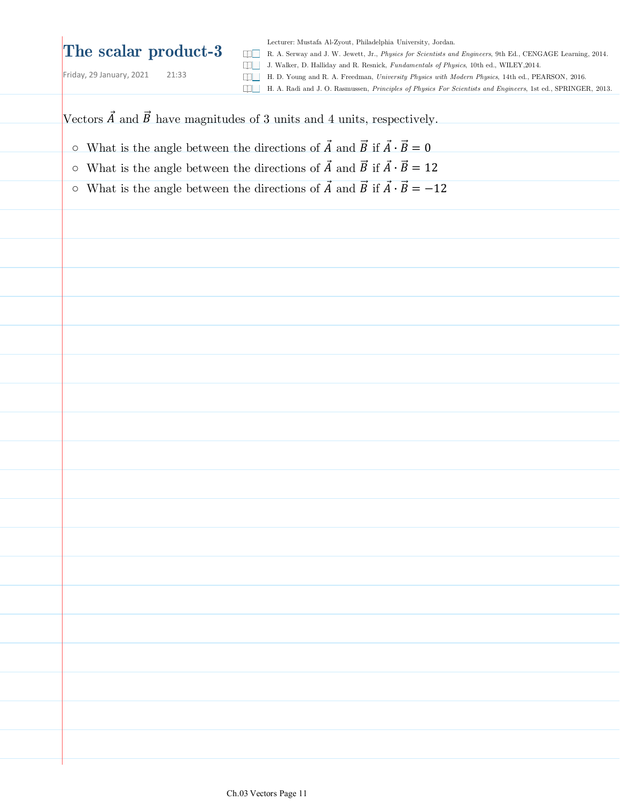## **The scalar product-3**

Friday, 29 January, 2021 21:33

Lecturer: Mustafa Al-Zyout, Philadelphia University, Jordan. R. A. Serway and J. W. Jewett, Jr., *Physics for Scientists and Engineers*, 9th Ed., CENGAGE Learning, 2014. J. Walker, D. Halliday and R. Resnick, *Fundamentals of Physics*, 10th ed., WILEY,2014. H. D. Young and R. A. Freedman, *University Physics with Modern Physics*, 14th ed., PEARSON, 2016.

H. A. Radi and J. O. Rasmussen, *Principles of Physics For Scientists and Engineers*, 1st ed., SPRINGER, 2013.

Vectors  $\vec{A}$  and  $\vec{B}$  have magnitudes of 3 units and 4 units, respectively.

- $\circ~$  What is the angle between the directions of  $\vec{A}$  and  $\vec{B}$  if  $\vec{A} \cdot \vec{B} = 0$
- $\circ$  What is the angle between the directions of  $\vec{A}$  and  $\vec{B}$  if  $\vec{A} \cdot \vec{B} = 12$
- $\circ$  What is the angle between the directions of  $\vec{A}$  and  $\vec{B}$  if  $\vec{A} \cdot \vec{B} = -12$